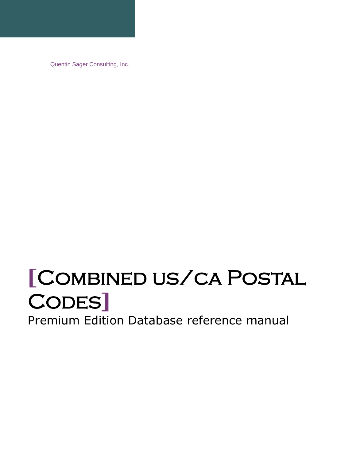Quentin Sager Consulting, Inc.

# **[**Combined us/ca Postal Codes**]**

Premium Edition Database reference manual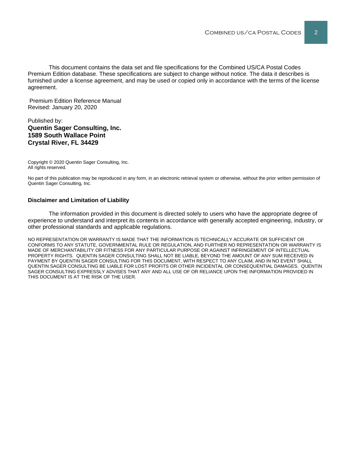This document contains the data set and file specifications for the Combined US/CA Postal Codes Premium Edition database. These specifications are subject to change without notice. The data it describes is furnished under a license agreement, and may be used or copied only in accordance with the terms of the license agreement.

Premium Edition Reference Manual Revised: January 20, 2020

#### Published by: **Quentin Sager Consulting, Inc. 1589 South Wallace Point Crystal River, FL 34429**

Copyright © 2020 Quentin Sager Consulting, Inc. All rights reserved.

No part of this publication may be reproduced in any form, in an electronic retrieval system or otherwise, without the prior written permission of Quentin Sager Consulting, Inc.

#### **Disclaimer and Limitation of Liability**

The information provided in this document is directed solely to users who have the appropriate degree of experience to understand and interpret its contents in accordance with generally accepted engineering, industry, or other professional standards and applicable regulations.

NO REPRESENTATION OR WARRANTY IS MADE THAT THE INFORMATION IS TECHNICALLY ACCURATE OR SUFFICIENT OR CONFORMS TO ANY STATUTE, GOVERNMENTAL RULE OR REGULATION, AND FURTHER NO REPRESENTATION OR WARRANTY IS MADE OF MERCHANTABILITY OR FITNESS FOR ANY PARTICULAR PURPOSE OR AGAINST INFRINGEMENT OF INTELLECTUAL PROPERTY RIGHTS. QUENTIN SAGER CONSULTING SHALL NOT BE LIABLE, BEYOND THE AMOUNT OF ANY SUM RECEIVED IN PAYMENT BY QUENTIN SAGER CONSULTING FOR THIS DOCUMENT, WITH RESPECT TO ANY CLAIM, AND IN NO EVENT SHALL QUENTIN SAGER CONSULTING BE LIABLE FOR LOST PROFITS OR OTHER INCIDENTAL OR CONSEQUENTIAL DAMAGES. QUENTIN SAGER CONSULTING EXPRESSLY ADVISES THAT ANY AND ALL USE OF OR RELIANCE UPON THE INFORMATION PROVIDED IN THIS DOCUMENT IS AT THE RISK OF THE USER.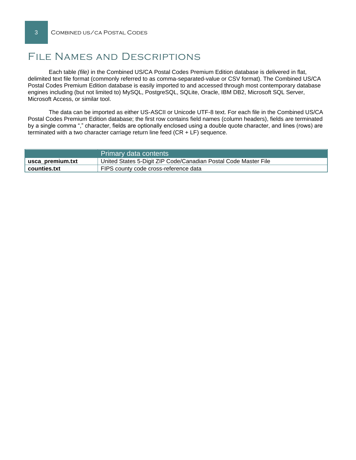## File Names and Descriptions

Each table *(file)* in the Combined US/CA Postal Codes Premium Edition database is delivered in flat, delimited text file format (commonly referred to as comma-separated-value or CSV format). The Combined US/CA Postal Codes Premium Edition database is easily imported to and accessed through most contemporary database engines including (but not limited to) MySQL, PostgreSQL, SQLite, Oracle, IBM DB2, Microsoft SQL Server, Microsoft Access, or similar tool.

The data can be imported as either US-ASCII or Unicode UTF-8 text. For each file in the Combined US/CA Postal Codes Premium Edition database; the first row contains field names (column headers), fields are terminated by a single comma "," character, fields are optionally enclosed using a double quote character, and lines (rows) are terminated with a two character carriage return line feed (CR + LF) sequence.

|                  | Primary data contents                                           |
|------------------|-----------------------------------------------------------------|
| usca premium.txt | United States 5-Digit ZIP Code/Canadian Postal Code Master File |
| counties.txt     | FIPS county code cross-reference data                           |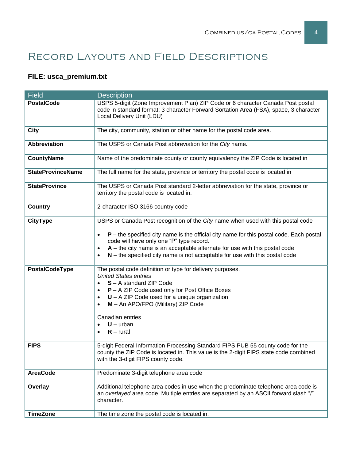# Record Layouts and Field Descriptions

### **FILE: usca\_premium.txt**

| <b>Field</b>             | <b>Description</b>                                                                                                                                                                                             |  |  |  |  |
|--------------------------|----------------------------------------------------------------------------------------------------------------------------------------------------------------------------------------------------------------|--|--|--|--|
| <b>PostalCode</b>        | USPS 5-digit (Zone Improvement Plan) ZIP Code or 6 character Canada Post postal                                                                                                                                |  |  |  |  |
|                          | code in standard format; 3 character Forward Sortation Area (FSA), space, 3 character<br>Local Delivery Unit (LDU)                                                                                             |  |  |  |  |
|                          |                                                                                                                                                                                                                |  |  |  |  |
| <b>City</b>              | The city, community, station or other name for the postal code area.                                                                                                                                           |  |  |  |  |
| <b>Abbreviation</b>      | The USPS or Canada Post abbreviation for the City name.                                                                                                                                                        |  |  |  |  |
| <b>CountyName</b>        | Name of the predominate county or county equivalency the ZIP Code is located in                                                                                                                                |  |  |  |  |
| <b>StateProvinceName</b> | The full name for the state, province or territory the postal code is located in                                                                                                                               |  |  |  |  |
| <b>StateProvince</b>     | The USPS or Canada Post standard 2-letter abbreviation for the state, province or<br>territory the postal code is located in.                                                                                  |  |  |  |  |
| <b>Country</b>           | 2-character ISO 3166 country code                                                                                                                                                                              |  |  |  |  |
| <b>CityType</b>          | USPS or Canada Post recognition of the City name when used with this postal code                                                                                                                               |  |  |  |  |
|                          | $P$ – the specified city name is the official city name for this postal code. Each postal<br>code will have only one "P" type record.                                                                          |  |  |  |  |
|                          | $A$ – the city name is an acceptable alternate for use with this postal code<br>$N$ – the specified city name is not acceptable for use with this postal code                                                  |  |  |  |  |
| PostalCodeType           | The postal code definition or type for delivery purposes.<br><b>United States entries</b>                                                                                                                      |  |  |  |  |
|                          | S - A standard ZIP Code                                                                                                                                                                                        |  |  |  |  |
|                          | P - A ZIP Code used only for Post Office Boxes                                                                                                                                                                 |  |  |  |  |
|                          | $U - A ZIP$ Code used for a unique organization<br>$\bullet$<br>M - An APO/FPO (Military) ZIP Code                                                                                                             |  |  |  |  |
|                          |                                                                                                                                                                                                                |  |  |  |  |
|                          | Canadian entries<br>$U - urban$                                                                                                                                                                                |  |  |  |  |
|                          | $R$ – rural                                                                                                                                                                                                    |  |  |  |  |
| <b>FIPS</b>              | 5-digit Federal Information Processing Standard FIPS PUB 55 county code for the<br>county the ZIP Code is located in. This value is the 2-digit FIPS state code combined<br>with the 3-digit FIPS county code. |  |  |  |  |
| <b>AreaCode</b>          | Predominate 3-digit telephone area code                                                                                                                                                                        |  |  |  |  |
| Overlay                  | Additional telephone area codes in use when the predominate telephone area code is                                                                                                                             |  |  |  |  |
|                          | an overlayed area code. Multiple entries are separated by an ASCII forward slash "/"<br>character.                                                                                                             |  |  |  |  |
| <b>TimeZone</b>          | The time zone the postal code is located in.                                                                                                                                                                   |  |  |  |  |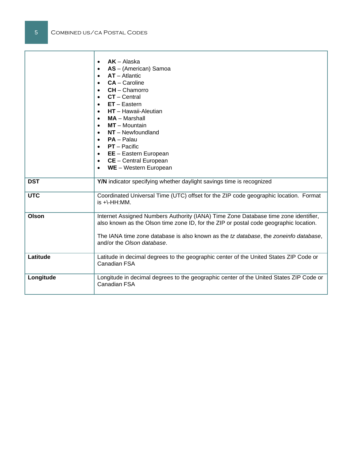|              | $AK - Alaska$<br>$\bullet$<br>AS - (American) Samoa<br>$AT - Atlantic$<br>$\bullet$<br>$CA - Caroline$<br>$CH - Chamorro$<br>$CT - Central$<br>$\bullet$<br>$ET - Eastern$<br>$\bullet$<br><b>HT</b> – Hawaii-Aleutian<br>$\bullet$<br>$MA - Marshall$<br>$\bullet$<br>$MT - M$ ountain<br>$NT - Newtondland$<br>$\bullet$<br><b>PA</b> – Palau<br>$\bullet$<br>$PT - Pacific$<br>$\bullet$<br><b>EE</b> - Eastern European<br>$\bullet$<br><b>CE</b> – Central European<br>$\bullet$<br>WE - Western European |
|--------------|----------------------------------------------------------------------------------------------------------------------------------------------------------------------------------------------------------------------------------------------------------------------------------------------------------------------------------------------------------------------------------------------------------------------------------------------------------------------------------------------------------------|
| <b>DST</b>   | Y/N indicator specifying whether daylight savings time is recognized                                                                                                                                                                                                                                                                                                                                                                                                                                           |
|              |                                                                                                                                                                                                                                                                                                                                                                                                                                                                                                                |
| <b>UTC</b>   | Coordinated Universal Time (UTC) offset for the ZIP code geographic location. Format<br>$is +\text{-}HH:MM.$                                                                                                                                                                                                                                                                                                                                                                                                   |
| <b>Olson</b> | Internet Assigned Numbers Authority (IANA) Time Zone Database time zone identifier,<br>also known as the Olson time zone ID, for the ZIP or postal code geographic location.<br>The IANA time zone database is also known as the tz database, the zoneinfo database,<br>and/or the Olson database.                                                                                                                                                                                                             |
| Latitude     | Latitude in decimal degrees to the geographic center of the United States ZIP Code or<br>Canadian FSA                                                                                                                                                                                                                                                                                                                                                                                                          |
| Longitude    | Longitude in decimal degrees to the geographic center of the United States ZIP Code or<br>Canadian FSA                                                                                                                                                                                                                                                                                                                                                                                                         |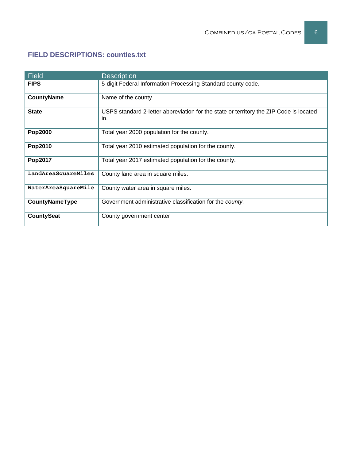#### **FIELD DESCRIPTIONS: counties.txt**

| Field               | <b>Description</b>                                                                            |
|---------------------|-----------------------------------------------------------------------------------------------|
| <b>FIPS</b>         | 5-digit Federal Information Processing Standard county code.                                  |
| <b>CountyName</b>   | Name of the county                                                                            |
| <b>State</b>        | USPS standard 2-letter abbreviation for the state or territory the ZIP Code is located<br>in. |
| Pop2000             | Total year 2000 population for the county.                                                    |
| Pop2010             | Total year 2010 estimated population for the county.                                          |
| Pop2017             | Total year 2017 estimated population for the county.                                          |
| LandAreaSquareMiles | County land area in square miles.                                                             |
| WaterAreaSquareMile | County water area in square miles.                                                            |
| CountyNameType      | Government administrative classification for the county.                                      |
| <b>CountySeat</b>   | County government center                                                                      |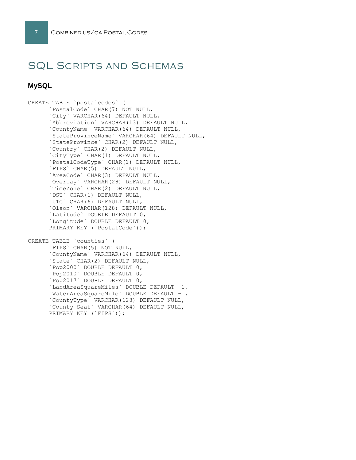# SQL Scripts and Schemas

#### **MySQL**

CREATE TABLE `postalcodes` ( `PostalCode` CHAR(7) NOT NULL, `City` VARCHAR(64) DEFAULT NULL, `Abbreviation` VARCHAR(13) DEFAULT NULL, `CountyName` VARCHAR(64) DEFAULT NULL, `StateProvinceName` VARCHAR(64) DEFAULT NULL, `StateProvince` CHAR(2) DEFAULT NULL, `Country` CHAR(2) DEFAULT NULL, `CityType` CHAR(1) DEFAULT NULL, `PostalCodeType` CHAR(1) DEFAULT NULL, `FIPS` CHAR(5) DEFAULT NULL, `AreaCode` CHAR(3) DEFAULT NULL, `Overlay` VARCHAR(28) DEFAULT NULL, `TimeZone` CHAR(2) DEFAULT NULL, `DST` CHAR(1) DEFAULT NULL, `UTC` CHAR(6) DEFAULT NULL, `Olson` VARCHAR(128) DEFAULT NULL, `Latitude` DOUBLE DEFAULT 0, `Longitude` DOUBLE DEFAULT 0, PRIMARY KEY (`PostalCode`));

```
CREATE TABLE `counties` (
`FIPS` CHAR(5) NOT NULL,
`CountyName` VARCHAR(64) DEFAULT NULL,
`State` CHAR(2) DEFAULT NULL,
`Pop2000` DOUBLE DEFAULT 0,
`Pop2010` DOUBLE DEFAULT 0,
`Pop2017` DOUBLE DEFAULT 0,
`LandAreaSquareMiles` DOUBLE DEFAULT -1,
`WaterAreaSquareMile` DOUBLE DEFAULT -1,
`CountyType` VARCHAR(128) DEFAULT NULL,
`County_Seat` VARCHAR(64) DEFAULT NULL,
PRIMARY KEY (`FIPS`));
```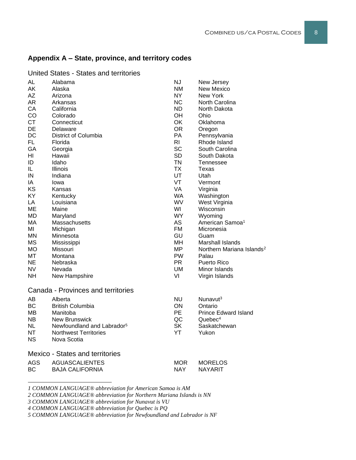#### **Appendix A – State, province, and territory codes**

| AL         | Alabama                                | <b>NJ</b>      | New Jersey                            |
|------------|----------------------------------------|----------------|---------------------------------------|
| AK         | Alaska                                 | <b>NM</b>      | New Mexico                            |
| AZ         | Arizona                                | <b>NY</b>      | New York                              |
| AR         | Arkansas                               | <b>NC</b>      | North Carolina                        |
| CA         | California                             | <b>ND</b>      | North Dakota                          |
| CO         | Colorado                               | OH             | Ohio                                  |
| <b>CT</b>  | Connecticut                            | OK             | Oklahoma                              |
| DE         | Delaware                               | <b>OR</b>      | Oregon                                |
| DC         | District of Columbia                   | <b>PA</b>      | Pennsylvania                          |
| <b>FL</b>  | Florida                                | R <sub>l</sub> | Rhode Island                          |
| GA         | Georgia                                | <b>SC</b>      | South Carolina                        |
| HI         | Hawaii                                 | <b>SD</b>      | South Dakota                          |
| ID         | Idaho                                  | <b>TN</b>      | <b>Tennessee</b>                      |
| IL         | <b>Illinois</b>                        | <b>TX</b>      | Texas                                 |
| IN         | Indiana                                | UT             | Utah                                  |
| IA         | Iowa                                   | VT             | Vermont                               |
| KS         | Kansas                                 | VA             | Virginia                              |
| KY         | Kentucky                               | <b>WA</b>      | Washington                            |
| LA         | Louisiana                              | WV             | West Virginia                         |
| MЕ         | Maine                                  | WI             | Wisconsin                             |
| MD         | Maryland                               | <b>WY</b>      | Wyoming                               |
| МA         | Massachusetts                          | <b>AS</b>      | American Samoa <sup>1</sup>           |
| ΜI         | Michigan                               | <b>FM</b>      | Micronesia                            |
| MΝ         | Minnesota                              | GU             | Guam                                  |
| <b>MS</b>  | Mississippi                            | <b>MH</b>      | Marshall Islands                      |
| <b>MO</b>  | Missouri                               | <b>MP</b>      | Northern Mariana Islands <sup>2</sup> |
| МT         | Montana                                | <b>PW</b>      | Palau                                 |
| <b>NE</b>  | Nebraska                               | <b>PR</b>      | Puerto Rico                           |
| <b>NV</b>  | Nevada                                 | UM             | Minor Islands                         |
| <b>NH</b>  | New Hampshire                          | VI             | Virgin Islands                        |
|            | Canada - Provinces and territories     |                |                                       |
| AB         | Alberta                                | <b>NU</b>      | Nunavut <sup>3</sup>                  |
| BC         | <b>British Columbia</b>                | ON             | Ontario                               |
| MВ         | Manitoba                               | PE             | <b>Prince Edward Island</b>           |
| NB.        | <b>New Brunswick</b>                   | QC             | Quebec <sup>4</sup>                   |
| <b>NL</b>  | Newfoundland and Labrador <sup>5</sup> | <b>SK</b>      | Saskatchewan                          |
| NΤ         | <b>Northwest Territories</b>           | YT             | Yukon                                 |
| ΝS         | Nova Scotia                            |                |                                       |
|            | <b>Mexico - States and territories</b> |                |                                       |
| <b>AGS</b> | <b>AGUASCALIENTES</b>                  | <b>MOR</b>     | <b>MORELOS</b>                        |
| BC         | <b>BAJA CALIFORNIA</b>                 | <b>NAY</b>     | <b>NAYARIT</b>                        |
|            |                                        |                |                                       |

United States - States and territories

*1 COMMON LANGUAGE® abbreviation for American Samoa is AM*

*2 COMMON LANGUAGE® abbreviation for Northern Mariana Islands is NN*

*3 COMMON LANGUAGE® abbreviation for Nunavut is VU*

*4 COMMON LANGUAGE® abbreviation for Quebec is PQ*

*5 COMMON LANGUAGE® abbreviation for Newfoundland and Labrador is NF*